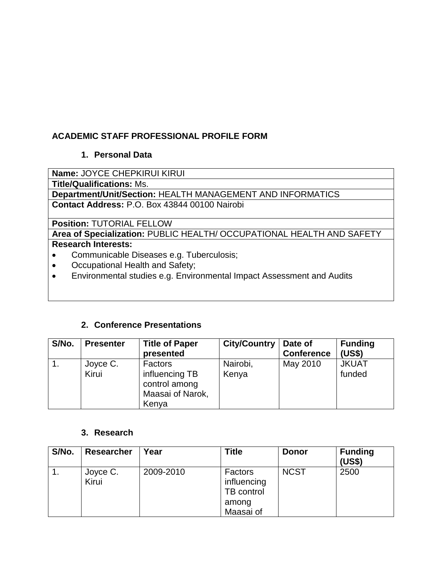## **ACADEMIC STAFF PROFESSIONAL PROFILE FORM**

### **1. Personal Data**

**Name:** JOYCE CHEPKIRUI KIRUI

**Title/Qualifications:** Ms.

**Department/Unit/Section:** HEALTH MANAGEMENT AND INFORMATICS **Contact Address:** P.O. Box 43844 00100 Nairobi

**Position:** TUTORIAL FELLOW

**Area of Specialization:** PUBLIC HEALTH/ OCCUPATIONAL HEALTH AND SAFETY **Research Interests:**

- Communicable Diseases e.g. Tuberculosis;
- Occupational Health and Safety;
- Environmental studies e.g. Environmental Impact Assessment and Audits

### **2. Conference Presentations**

| S/No. | <b>Presenter</b> | <b>Title of Paper</b><br>presented                           | <b>City/Country</b> | Date of<br><b>Conference</b> | <b>Funding</b><br>(US\$) |
|-------|------------------|--------------------------------------------------------------|---------------------|------------------------------|--------------------------|
|       |                  |                                                              |                     |                              |                          |
|       | Joyce C.         | Factors                                                      | Nairobi,            | May 2010                     | <b>JKUAT</b>             |
|       | Kirui            | influencing TB<br>control among<br>Maasai of Narok,<br>Kenya | Kenya               |                              | funded                   |

#### **3. Research**

| S/No. | <b>Researcher</b> | Year      | Title                                | <b>Donor</b> | <b>Funding</b><br>(US\$) |
|-------|-------------------|-----------|--------------------------------------|--------------|--------------------------|
| 1.    | Joyce C.<br>Kirui | 2009-2010 | Factors<br>influencing<br>TB control | <b>NCST</b>  | 2500                     |
|       |                   |           | among<br>Maasai of                   |              |                          |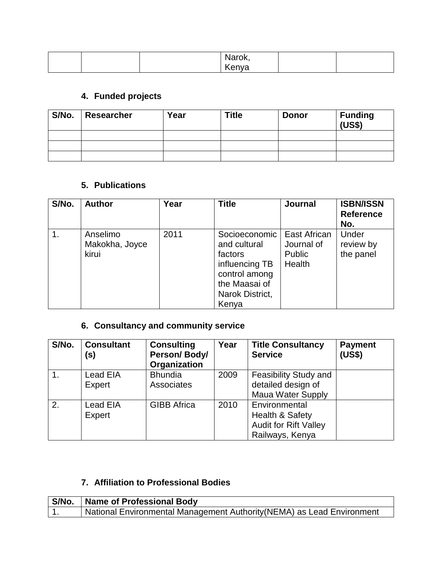|  | . .arOK, lim |  |
|--|--------------|--|
|  |              |  |

# **4. Funded projects**

| S/No. | <b>Researcher</b> | Year | <b>Title</b> | <b>Donor</b> | <b>Funding</b><br>(US\$) |
|-------|-------------------|------|--------------|--------------|--------------------------|
|       |                   |      |              |              |                          |
|       |                   |      |              |              |                          |
|       |                   |      |              |              |                          |

## **5. Publications**

| S/No. | <b>Author</b>                       | Year | <b>Title</b>                                                                                                             | Journal                                                      | <b>ISBN/ISSN</b><br><b>Reference</b><br>No. |
|-------|-------------------------------------|------|--------------------------------------------------------------------------------------------------------------------------|--------------------------------------------------------------|---------------------------------------------|
|       | Anselimo<br>Makokha, Joyce<br>kirui | 2011 | Socioeconomic<br>and cultural<br>factors<br>influencing TB<br>control among<br>the Maasai of<br>Narok District,<br>Kenya | East African<br>Journal of<br><b>Public</b><br><b>Health</b> | Under<br>review by<br>the panel             |

## **6. Consultancy and community service**

| S/No.          | <b>Consultant</b><br>(s)  | <b>Consulting</b><br>Person/Body/<br>Organization | Year | <b>Title Consultancy</b><br><b>Service</b>                                                     | <b>Payment</b><br>(US\$) |
|----------------|---------------------------|---------------------------------------------------|------|------------------------------------------------------------------------------------------------|--------------------------|
| $\mathbf{1}$ . | Lead EIA<br>Expert        | <b>Bhundia</b><br>Associates                      | 2009 | <b>Feasibility Study and</b><br>detailed design of<br><b>Maua Water Supply</b>                 |                          |
| 2.             | <b>Lead EIA</b><br>Expert | <b>GIBB Africa</b>                                | 2010 | Environmental<br><b>Health &amp; Safety</b><br><b>Audit for Rift Valley</b><br>Railways, Kenya |                          |

## **7. Affiliation to Professional Bodies**

| S/No.   Name of Professional Body                                      |
|------------------------------------------------------------------------|
| National Environmental Management Authority (NEMA) as Lead Environment |